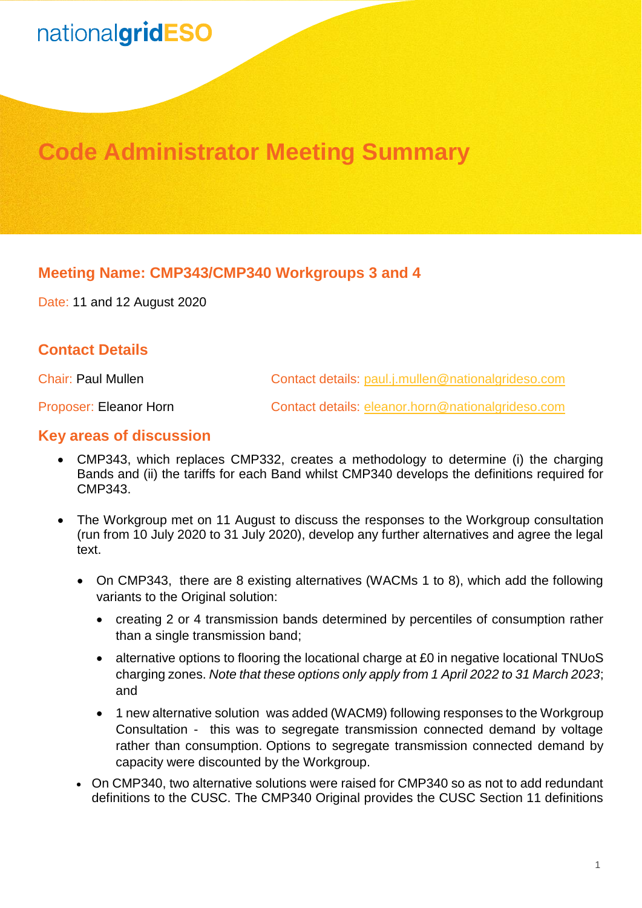# nationalgridESO

## **Code Administrator Meeting Summary**

### **Meeting Name: CMP343/CMP340 Workgroups 3 and 4**

Date: 11 and 12 August 2020

### **Contact Details**

Chair: Paul Mullen Contact details: [paul.j.mullen@nationalgrideso.com](mailto:paul.j.mullen@nationalgrideso.com)

Proposer: Eleanor Horn Contact details: [eleanor.horn@nationalgrideso.com](mailto:eleanor.horn@nationalgrideso.com)

#### **Key areas of discussion**

- CMP343, which replaces CMP332, creates a methodology to determine (i) the charging Bands and (ii) the tariffs for each Band whilst CMP340 develops the definitions required for CMP343.
- The Workgroup met on 11 August to discuss the responses to the Workgroup consultation (run from 10 July 2020 to 31 July 2020), develop any further alternatives and agree the legal text.
	- On CMP343, there are 8 existing alternatives (WACMs 1 to 8), which add the following variants to the Original solution:
		- creating 2 or 4 transmission bands determined by percentiles of consumption rather than a single transmission band;
		- alternative options to flooring the locational charge at £0 in negative locational TNUoS charging zones. *Note that these options only apply from 1 April 2022 to 31 March 2023*; and
		- 1 new alternative solution was added (WACM9) following responses to the Workgroup Consultation - this was to segregate transmission connected demand by voltage rather than consumption. Options to segregate transmission connected demand by capacity were discounted by the Workgroup.
	- On CMP340, two alternative solutions were raised for CMP340 so as not to add redundant definitions to the CUSC. The CMP340 Original provides the CUSC Section 11 definitions